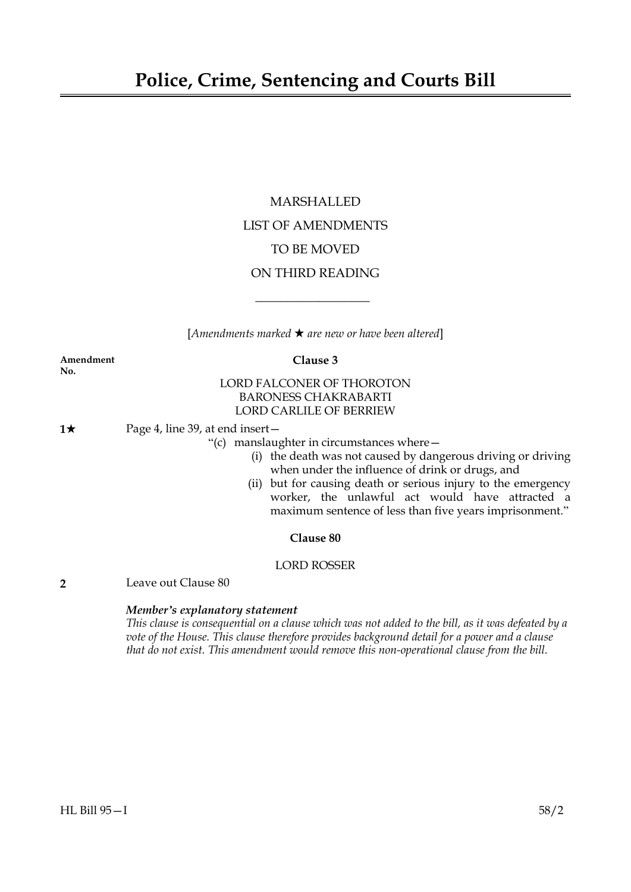# MARSHALLED LIST OF AMENDMENTS TO BE MOVED ON THIRD READING

[*Amendments marked* \* *are new or have been altered*]

 $\overline{\phantom{a}}$  , where  $\overline{\phantom{a}}$ 

#### **Amendment Clause 3 No.**

# LORD FALCONER OF THOROTON BARONESS CHAKRABARTI LORD CARLILE OF BERRIEW

# **1★** Page 4, line 39, at end insert —

"(c) manslaughter in circumstances where—

- (i) the death was not caused by dangerous driving or driving when under the influence of drink or drugs, and
- (ii) but for causing death or serious injury to the emergency worker, the unlawful act would have attracted a maximum sentence of less than five years imprisonment."

# **Clause 80**

# LORD ROSSER

**2** Leave out Clause 80

# *Member's explanatory statement*

This clause is consequential on a clause which was not added to the bill, as it was defeated by a *vote of the House. This clause therefore provides background detail for a power and a clause that do not exist. This amendment would remove this non-operational clause from the bill.*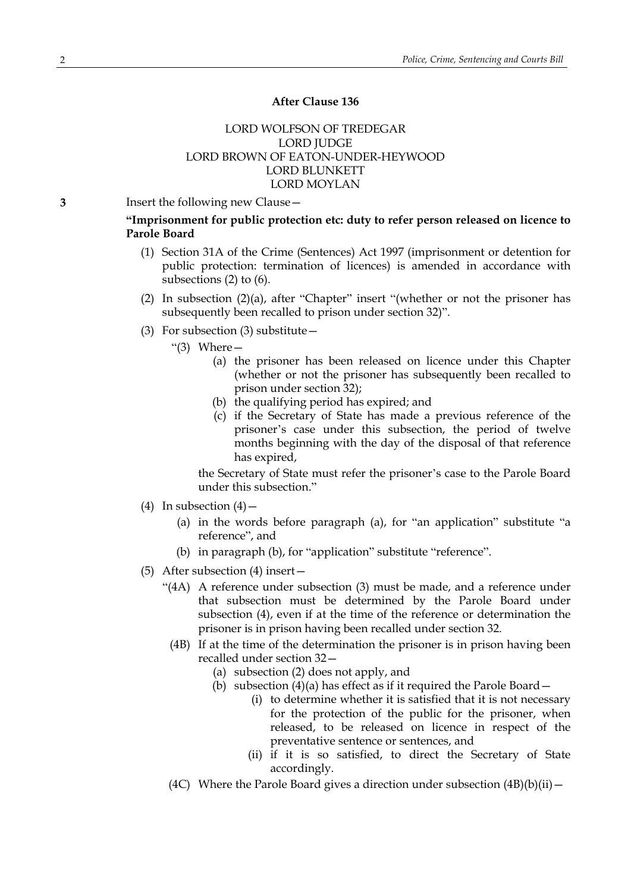# **After Clause 136**

# LORD WOLFSON OF TREDEGAR LORD JUDGE LORD BROWN OF EATON-UNDER-HEYWOOD LORD BLUNKETT LORD MOYLAN

**3** Insert the following new Clause—

# **"Imprisonment for public protection etc: duty to refer person released on licence to Parole Board**

- (1) Section 31A of the Crime (Sentences) Act 1997 (imprisonment or detention for public protection: termination of licences) is amended in accordance with subsections (2) to (6).
- (2) In subsection (2)(a), after "Chapter" insert "(whether or not the prisoner has subsequently been recalled to prison under section 32)".
- (3) For subsection (3) substitute—
	- "(3) Where—
		- (a) the prisoner has been released on licence under this Chapter (whether or not the prisoner has subsequently been recalled to prison under section 32);
		- (b) the qualifying period has expired; and
		- (c) if the Secretary of State has made a previous reference of the prisoner's case under this subsection, the period of twelve months beginning with the day of the disposal of that reference has expired,

the Secretary of State must refer the prisoner's case to the Parole Board under this subsection."

- (4) In subsection  $(4)$ 
	- (a) in the words before paragraph (a), for "an application" substitute "a reference", and
	- (b) in paragraph (b), for "application" substitute "reference".
- (5) After subsection (4) insert—
	- "(4A) A reference under subsection (3) must be made, and a reference under that subsection must be determined by the Parole Board under subsection (4), even if at the time of the reference or determination the prisoner is in prison having been recalled under section 32.
		- (4B) If at the time of the determination the prisoner is in prison having been recalled under section 32—
			- (a) subsection (2) does not apply, and
			- (b) subsection (4)(a) has effect as if it required the Parole Board—
				- (i) to determine whether it is satisfied that it is not necessary for the protection of the public for the prisoner, when released, to be released on licence in respect of the preventative sentence or sentences, and
				- (ii) if it is so satisfied, to direct the Secretary of State accordingly.
		- (4C) Where the Parole Board gives a direction under subsection  $(4B)(b)(ii)$  –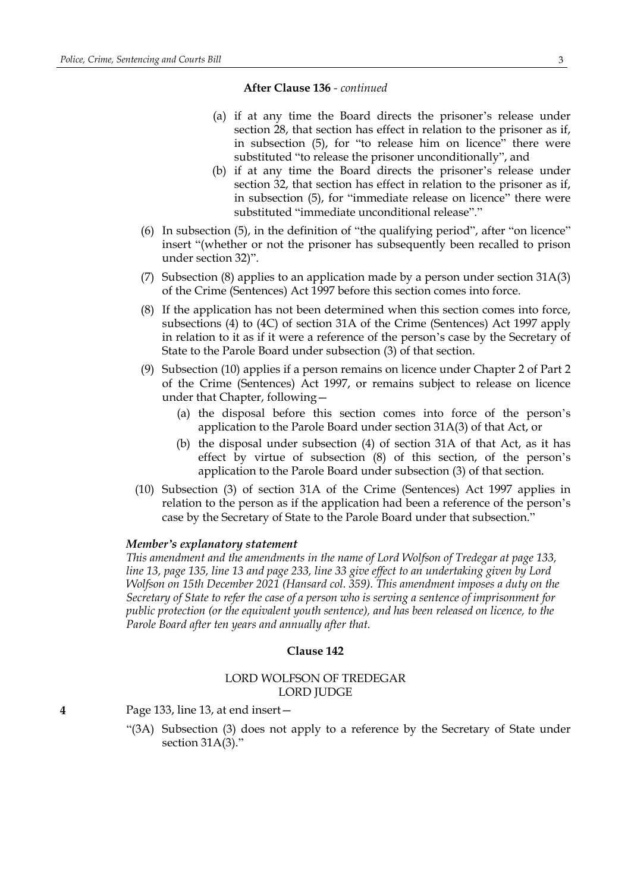### **After Clause 136** *- continued*

- (a) if at any time the Board directs the prisoner's release under section 28, that section has effect in relation to the prisoner as if, in subsection (5), for "to release him on licence" there were substituted "to release the prisoner unconditionally", and
- (b) if at any time the Board directs the prisoner's release under section 32, that section has effect in relation to the prisoner as if, in subsection (5), for "immediate release on licence" there were substituted "immediate unconditional release"."
- (6) In subsection (5), in the definition of "the qualifying period", after "on licence" insert "(whether or not the prisoner has subsequently been recalled to prison under section 32)".
- (7) Subsection (8) applies to an application made by a person under section 31A(3) of the Crime (Sentences) Act 1997 before this section comes into force.
- (8) If the application has not been determined when this section comes into force, subsections (4) to (4C) of section 31A of the Crime (Sentences) Act 1997 apply in relation to it as if it were a reference of the person's case by the Secretary of State to the Parole Board under subsection (3) of that section.
- (9) Subsection (10) applies if a person remains on licence under Chapter 2 of Part 2 of the Crime (Sentences) Act 1997, or remains subject to release on licence under that Chapter, following—
	- (a) the disposal before this section comes into force of the person's application to the Parole Board under section 31A(3) of that Act, or
	- (b) the disposal under subsection (4) of section 31A of that Act, as it has effect by virtue of subsection (8) of this section, of the person's application to the Parole Board under subsection (3) of that section.
- (10) Subsection (3) of section 31A of the Crime (Sentences) Act 1997 applies in relation to the person as if the application had been a reference of the person's case by the Secretary of State to the Parole Board under that subsection."

#### *Member's explanatory statement*

*This amendment and the amendments in the name of Lord Wolfson of Tredegar at page 133,* line 13, page 135, line 13 and page 233, line 33 give effect to an undertaking given by Lord *Wolfson on 15th December 2021 (Hansard col. 359). This amendment imposes a duty on the Secretary of State to refer the case of a person who is serving a sentence of imprisonment for public protection (or the equivalent youth sentence), and has been released on licence, to the Parole Board after ten years and annually after that.*

#### **Clause 142**

# LORD WOLFSON OF TREDEGAR LORD JUDGE

**4** Page 133, line 13, at end insert—

"(3A) Subsection (3) does not apply to a reference by the Secretary of State under section 31A(3)."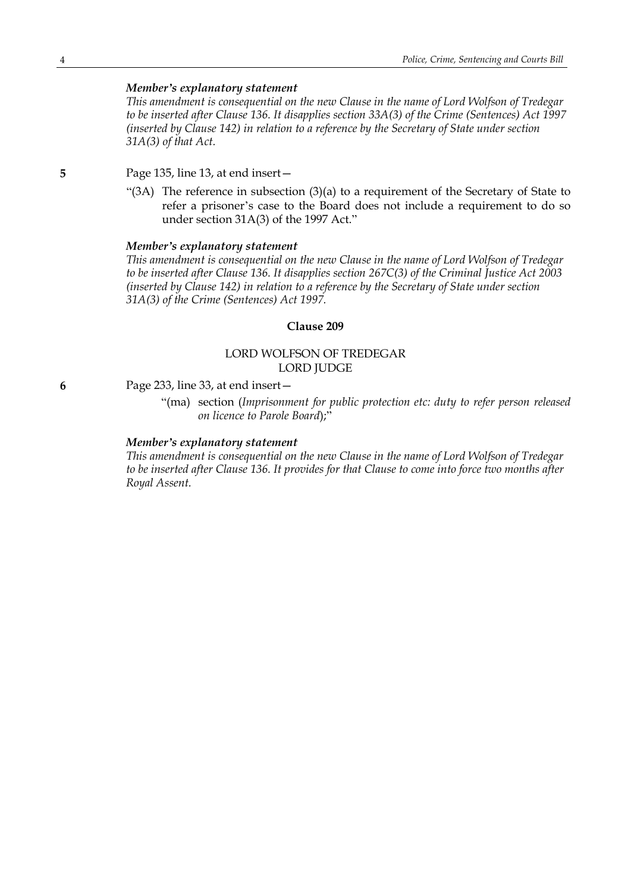# *Member's explanatory statement*

*This amendment is consequential on the new Clause in the name of Lord Wolfson of Tredegar to be inserted after Clause 136. It disapplies section 33A(3) of the Crime (Sentences) Act 1997 (inserted by Clause 142) in relation to a reference by the Secretary of State under section 31A(3) of that Act.*

**5** Page 135, line 13, at end insert—

"(3A) The reference in subsection (3)(a) to a requirement of the Secretary of State to refer a prisoner's case to the Board does not include a requirement to do so under section 31A(3) of the 1997 Act."

#### *Member's explanatory statement*

*This amendment is consequential on the new Clause in the name of Lord Wolfson of Tredegar to be inserted after Clause 136. It disapplies section 267C(3) of the Criminal Justice Act 2003 (inserted by Clause 142) in relation to a reference by the Secretary of State under section 31A(3) of the Crime (Sentences) Act 1997.*

#### **Clause 209**

# LORD WOLFSON OF TREDEGAR LORD JUDGE

#### **6** Page 233, line 33, at end insert—

"(ma) section (*Imprisonment for public protection etc: duty to refer person released on licence to Parole Board*);"

### *Member's explanatory statement*

*This amendment is consequential on the new Clause in the name of Lord Wolfson of Tredegar to be inserted after Clause 136. It provides for that Clause to come into force two months after Royal Assent.*